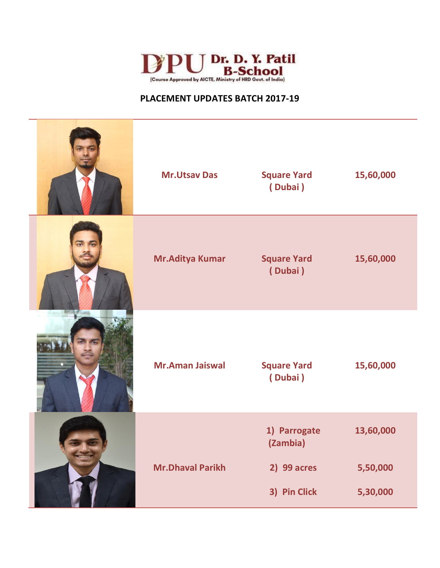

| <b>Mr.Utsav Das</b>     | <b>Square Yard</b><br>(Dubai)                           | 15,60,000                         |
|-------------------------|---------------------------------------------------------|-----------------------------------|
| Mr. Aditya Kumar        | <b>Square Yard</b><br>(Dubai)                           | 15,60,000                         |
| <b>Mr.Aman Jaiswal</b>  | <b>Square Yard</b><br>(Dubai)                           | 15,60,000                         |
| <b>Mr.Dhaval Parikh</b> | 1) Parrogate<br>(Zambia)<br>2) 99 acres<br>3) Pin Click | 13,60,000<br>5,50,000<br>5,30,000 |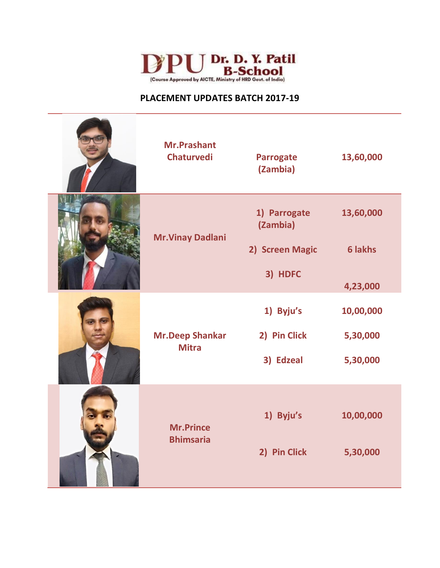

|  | <b>Mr.Prashant</b><br><b>Chaturvedi</b> | <b>Parrogate</b><br>(Zambia)                | 13,60,000                   |
|--|-----------------------------------------|---------------------------------------------|-----------------------------|
|  | <b>Mr. Vinay Dadlani</b>                | 1) Parrogate<br>(Zambia)<br>2) Screen Magic | 13,60,000<br><b>6 lakhs</b> |
|  |                                         | 3) HDFC                                     | 4,23,000                    |
|  | <b>Mr.Deep Shankar</b><br><b>Mitra</b>  | 1) Byju's                                   | 10,00,000                   |
|  |                                         | 2) Pin Click                                | 5,30,000                    |
|  |                                         | 3) Edzeal                                   | 5,30,000                    |
|  | <b>Mr.Prince</b><br><b>Bhimsaria</b>    | 1) Byju's                                   | 10,00,000                   |
|  |                                         | 2) Pin Click                                | 5,30,000                    |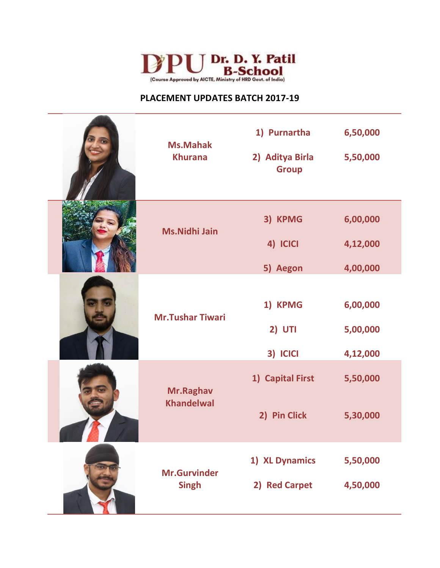

| <b>Ms.Mahak</b><br><b>Khurana</b>   | 1) Purnartha<br>2) Aditya Birla<br><b>Group</b> | 6,50,000<br>5,50,000             |
|-------------------------------------|-------------------------------------------------|----------------------------------|
| <b>Ms.Nidhi Jain</b>                | 3) KPMG<br>4) ICICI<br>5) Aegon                 | 6,00,000<br>4,12,000<br>4,00,000 |
| <b>Mr.Tushar Tiwari</b>             | 1) KPMG<br><b>2) UTI</b><br>3) ICICI            | 6,00,000<br>5,00,000<br>4,12,000 |
| Mr.Raghav<br><b>Khandelwal</b>      | 1) Capital First<br>2) Pin Click                | 5,50,000<br>5,30,000             |
| <b>Mr.Gurvinder</b><br><b>Singh</b> | 1) XL Dynamics<br>2) Red Carpet                 | 5,50,000<br>4,50,000             |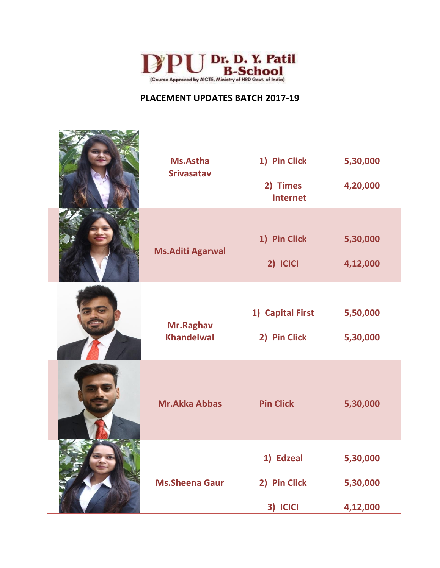

| <b>Ms.Astha</b><br><b>Srivasatav</b> | 1) Pin Click<br>2) Times<br><b>Internet</b> | 5,30,000<br>4,20,000             |
|--------------------------------------|---------------------------------------------|----------------------------------|
| <b>Ms.Aditi Agarwal</b>              | 1) Pin Click<br>2) ICICI                    | 5,30,000<br>4,12,000             |
| Mr.Raghav<br><b>Khandelwal</b>       | 1) Capital First<br>2) Pin Click            | 5,50,000<br>5,30,000             |
| <b>Mr.Akka Abbas</b>                 | <b>Pin Click</b>                            | 5,30,000                         |
| <b>Ms.Sheena Gaur</b>                | 1) Edzeal<br>2) Pin Click<br>3) ICICI       | 5,30,000<br>5,30,000<br>4,12,000 |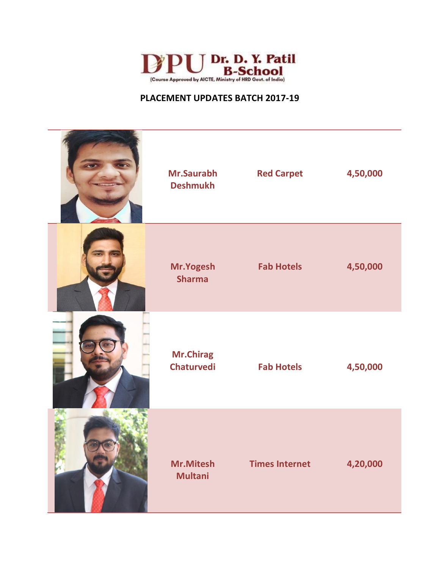

| Mr.Saurabh<br><b>Deshmukh</b>         | <b>Red Carpet</b>     | 4,50,000 |
|---------------------------------------|-----------------------|----------|
| Mr.Yogesh<br><b>Sharma</b>            | <b>Fab Hotels</b>     | 4,50,000 |
| <b>Mr.Chirag</b><br><b>Chaturvedi</b> | <b>Fab Hotels</b>     | 4,50,000 |
| Mr.Mitesh<br><b>Multani</b>           | <b>Times Internet</b> | 4,20,000 |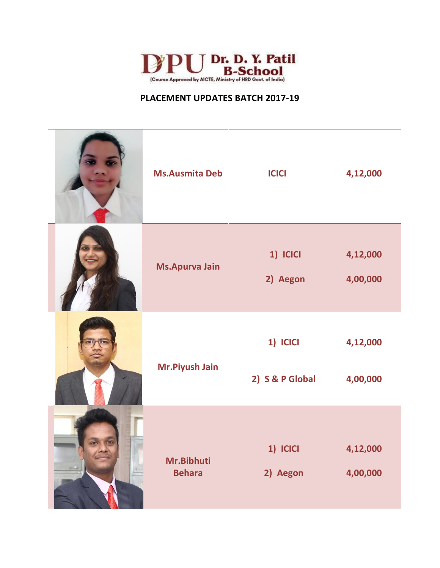

|                | <b>Ms.Ausmita Deb</b>       | <b>ICICI</b>                | 4,12,000             |
|----------------|-----------------------------|-----------------------------|----------------------|
|                | <b>Ms.Apurva Jain</b>       | 1) ICICI<br>2) Aegon        | 4,12,000<br>4,00,000 |
|                | Mr.Piyush Jain              | 1) ICICI<br>2) S & P Global | 4,12,000<br>4,00,000 |
| $\overline{a}$ | Mr.Bibhuti<br><b>Behara</b> | 1) ICICI<br>2) Aegon        | 4,12,000<br>4,00,000 |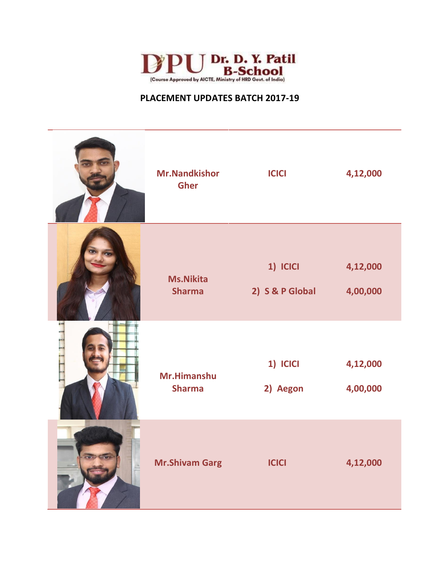

| <b>Mr.Nandkishor</b><br><b>Gher</b> | <b>ICICI</b>    | 4,12,000 |
|-------------------------------------|-----------------|----------|
| <b>Ms.Nikita</b>                    | 1) ICICI        | 4,12,000 |
| <b>Sharma</b>                       | 2) S & P Global | 4,00,000 |
| Mr.Himanshu                         | 1) ICICI        | 4,12,000 |
| <b>Sharma</b>                       | 2) Aegon        | 4,00,000 |
| <b>Mr.Shivam Garg</b>               | <b>ICICI</b>    |          |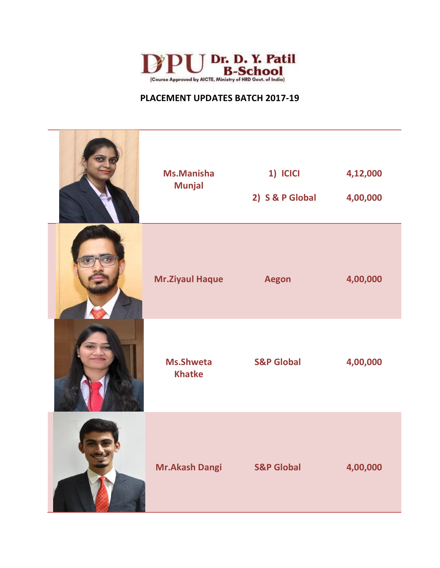

| <b>Ms.Manisha</b><br><b>Munjal</b> | 1) ICICI<br>2) S & P Global | 4,12,000<br>4,00,000 |
|------------------------------------|-----------------------------|----------------------|
| <b>Mr.Ziyaul Haque</b>             | <b>Aegon</b>                | 4,00,000             |
| <b>Ms.Shweta</b><br><b>Khatke</b>  | <b>S&amp;P Global</b>       | 4,00,000             |
| <b>Mr.Akash Dangi</b>              | <b>S&amp;P Global</b>       | 4,00,000             |